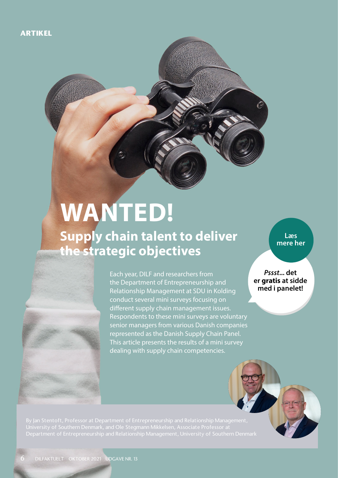# **WANTED! Supply chain talent to deliver the strategic objectives**

Each year, DILF and researchers from the Department of Entrepreneurship and Relationship Management at SDU in Kolding conduct several mini surveys focusing on different supply chain management issues. Respondents to these mini surveys are voluntary senior managers from various Danish companies represented as the Danish Supply Chain Panel. This article presents the results of a mini survey dealing with supply chain competencies.

**Læs mere her**

*Pssst***... det er gratis at sidde med i panelet!**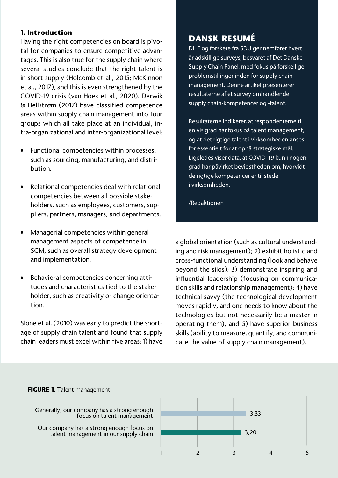## **1. Introduction**

Having the right competencies on board is pivotal for companies to ensure competitive advantages. This is also true for the supply chain where several studies conclude that the right talent is in short supply (Holcomb et al., 2015; McKinnon et al., 2017), and this is even strengthened by the COVID-19 crisis (van Hoek et al., 2020). Derwik & Hellstrøm (2017) have classified competence areas within supply chain management into four groups which all take place at an individual, intra-organizational and inter-organizational level:

- Functional competencies within processes, such as sourcing, manufacturing, and distribution.
- Relational competencies deal with relational competencies between all possible stakeholders, such as employees, customers, suppliers, partners, managers, and departments.
- Managerial competencies within general management aspects of competence in SCM, such as overall strategy development and implementation.
- Behavioral competencies concerning attitudes and characteristics tied to the stakeholder, such as creativity or change orientation.

Slone et al. (2010) was early to predict the shortage of supply chain talent and found that supply chain leaders must excel within five areas: 1) have

## **DANSK RESUMÉ**

DILF og forskere fra SDU gennemfører hvert år adskillige surveys, besvaret af Det Danske Supply Chain Panel, med fokus på forskellige problemstillinger inden for supply chain management. Denne artikel præsenterer resultaterne af et survey omhandlende supply chain-kompetencer og -talent.

Resultaterne indikerer, at respondenterne til en vis grad har fokus på talent management, og at det rigtige talent i virksomheden anses for essentielt for at opnå strategiske mål. Ligeledes viser data, at COVID-19 kun i nogen grad har påvirket bevidstheden om, hvorvidt de rigtige kompetencer er til stede i virksomheden.

/Redaktionen

a global orientation (such as cultural understanding and risk management); 2) exhibit holistic and cross-functional understanding (look and behave beyond the silos); 3) demonstrate inspiring and influential leadership (focusing on communication skills and relationship management); 4) have technical savvy (the technological development moves rapidly, and one needs to know about the technologies but not necessarily be a master in operating them), and 5) have superior business skills (ability to measure, quantify, and communicate the value of supply chain management).



Generally, our company has a strong enough focus on talent management

Our company has a strong enough focus on talent management in our supply chain

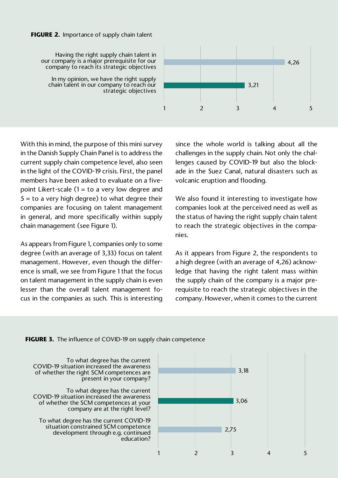#### **FIGURE 2.** Importance of supply chain talent

Having the right supply chain talent in our company is a major prerequisite for our company to reach its strategic objectives

In my opinion, we have the right supply chain talent in our company to reach our strategic objectives



With this in mind, the purpose of this mini survey in the Danish Supply Chain Panel is to address the current supply chain competence level, also seen in the light of the COVID-19 crisis. First, the panel members have been asked to evaluate on a fivepoint Likert-scale  $(1 = to a$  very low degree and  $5 =$  to a very high degree) to what degree their companies are focusing on talent management in general, and more specifically within supply chain management (see Figure 1).

As appears from Figure 1, companies only to some degree (with an average of 3,33) focus on talent management. However, even though the difference is small, we see from Figure 1 that the focus on talent management in the supply chain is even lesser than the overall talent management focus in the companies as such. This is interesting since the whole world is talking about all the challenges in the supply chain. Not only the challenges caused by COVID-19 but also the blockade in the Suez Canal, natural disasters such as volcanic eruption and flooding.

We also found it interesting to investigate how companies look at the perceived need as well as the status of having the right supply chain talent to reach the strategic objectives in the companies.

As it appears from Figure 2, the respondents to a high degree (with an average of 4,26) acknowledge that having the right talent mass within the supply chain of the company is a major prerequisite to reach the strategic objectives in the company. However, when it comes to the current

#### **FIGURE 3.** The influence of COVID-19 on supply chain competence

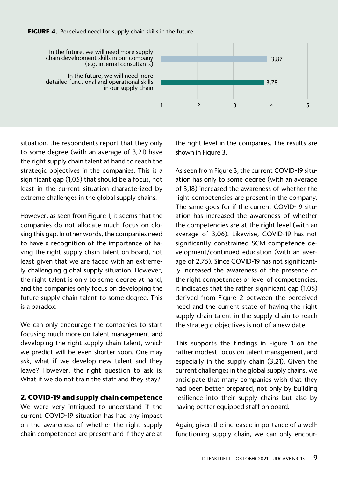#### **FIGURE 4.** Perceived need for supply chain skills in the future



In the future, we will need more supply chain development skills in our company (e.g. internal consultants)

In the future, we will need more detailed functional and operational skills in our supply chain

situation, the respondents report that they only to some degree (with an average of 3,21) have the right supply chain talent at hand to reach the strategic objectives in the companies. This is a significant gap (1,05) that should be a focus, not least in the current situation characterized by extreme challenges in the global supply chains.

However, as seen from Figure 1, it seems that the companies do not allocate much focus on closing this gap. In other words, the companies need to have a recognition of the importance of having the right supply chain talent on board, not least given that we are faced with an extremely challenging global supply situation. However, the right talent is only to some degree at hand, and the companies only focus on developing the future supply chain talent to some degree. This is a paradox.

We can only encourage the companies to start focusing much more on talent management and developing the right supply chain talent, which we predict will be even shorter soon. One may ask, what if we develop new talent and they leave? However, the right question to ask is: What if we do not train the staff and they stay?

## **2. COVID-19 and supply chain competence**

We were very intrigued to understand if the current COVID-19 situation has had any impact on the awareness of whether the right supply chain competences are present and if they are at the right level in the companies. The results are shown in Figure 3.

As seen from Figure 3, the current COVID-19 situation has only to some degree (with an average of 3,18) increased the awareness of whether the right competencies are present in the company. The same goes for if the current COVID-19 situation has increased the awareness of whether the competencies are at the right level (with an average of 3,06). Likewise, COVID-19 has not significantly constrained SCM competence development/continued education (with an average of 2,75). Since COVID-19 has not significantly increased the awareness of the presence of the right competences or level of competencies, it indicates that the rather significant gap (1,05) derived from Figure 2 between the perceived need and the current state of having the right supply chain talent in the supply chain to reach the strategic objectives is not of a new date.

This supports the findings in Figure 1 on the rather modest focus on talent management, and especially in the supply chain (3,21). Given the current challenges in the global supply chains, we anticipate that many companies wish that they had been better prepared, not only by building resilience into their supply chains but also by having better equipped staff on board.

Again, given the increased importance of a wellfunctioning supply chain, we can only encour-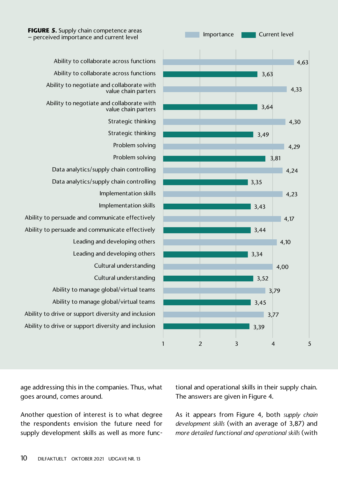

age addressing this in the companies. Thus, what

Another question of interest is to what degree the respondents envision the future need for

goes around, comes around.





Ability to collaborate across functions Ability to collaborate across functions Ability to negotiate and collaborate with value chain parters Ability to negotiate and collaborate with value chain parters Strategic thinking Strategic thinking Problem solving Data analytics/supply chain controlling Data analytics/supply chain controlling Ability to persuade and communicate effectively Ability to persuade and communicate effectively Ability to manage global/virtual teams Ability to manage global/virtual teams Ability to drive or support diversity and inclusion Ability to drive or support diversity and inclusion

> tional and operational skills in their supply chain. The answers are given in Figure 4.

As it appears from Figure 4, both *supply chain development skills* (with an average of 3,87) and *more detailed functional and operational skills* (with



Importance **Current level**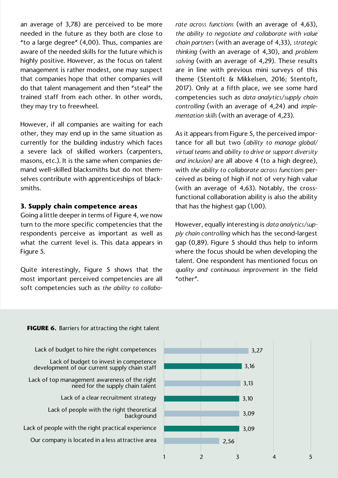an average of 3,78) are perceived to be more needed in the future as they both are close to "to a large degree" (4,00). Thus, companies are aware of the needed skills for the future which is highly positive. However, as the focus on talent management is rather modest, one may suspect that companies hope that other companies will do that talent management and then "steal" the trained staff from each other. In other words, they may try to freewheel.

However, if all companies are waiting for each other, they may end up in the same situation as currently for the building industry which faces a severe lack of skilled workers (carpenters, masons, etc.). It is the same when companies demand well-skilled blacksmiths but do not themselves contribute with apprenticeships of blacksmiths.

### **3. Supply chain competence areas**

Going a little deeper in terms of Figure 4, we now turn to the more specific competencies that the respondents perceive as important as well as what the current level is. This data appears in Figure 5.

Quite interestingly, Figure 5 shows that the most important perceived competencies are all soft competencies such as *the ability to collabo-* *rate across functions* (with an average of 4,63), *the ability to negotiate and collaborate with value chain partners* (with an average of 4,33), *strategic thinking* (with an average of 4,30), and *problem solving* (with an average of 4,29). These results are in line with previous mini surveys of this theme (Stentoft & Mikkelsen, 2016; Stentoft, 2017). Only at a fifth place, we see some hard competencies such as *data analytics/supply chain controlling* (with an average of 4,24) and *implementation skills* (with an average of 4,23).

As it appears from Figure 5, the perceived importance for all but two (*ability to manage global/ virtual teams* and *ability to drive or support diversity and inclusion)* are all above 4 (to a high degree), with *the ability to collaborate across functions* perceived as being of high if not of very high value (with an average of 4,63). Notably, the crossfunctional collaboration ability is also the ability that has the highest gap (1,00).

However, equally interesting is *data analytics/supply chain controlling* which has the second-largest gap (0,89). Figure 5 should thus help to inform where the focus should be when developing the talent. One respondent has mentioned focus on *quality and continuous improvement* in the field "other".

#### **FIGURE 6.** Barriers for attracting the right talent

Lack of budget to hire the right competences

Lack of budget to invest in competence development of our current supply chain staff

Lack of top management awareness of the right need for the supply chain talent

Lack of a clear recruitment strategy

Lack of people with the right theoretical background

Lack of people with the right practical experience

Our company is located in a less attractive area